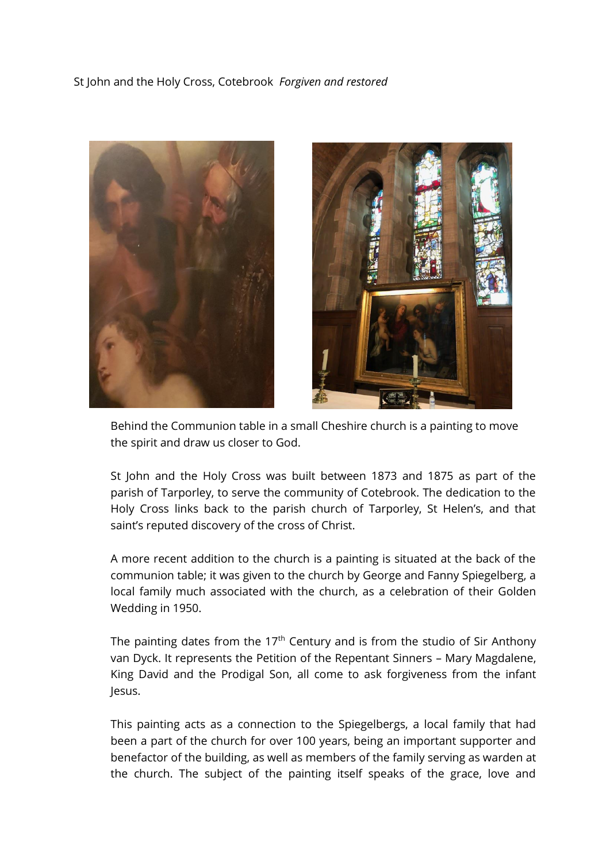## St John and the Holy Cross, Cotebrook *Forgiven and restored*





Behind the Communion table in a small Cheshire church is a painting to move the spirit and draw us closer to God.

St John and the Holy Cross was built between 1873 and 1875 as part of the parish of Tarporley, to serve the community of Cotebrook. The dedication to the Holy Cross links back to the parish church of Tarporley, St Helen's, and that saint's reputed discovery of the cross of Christ.

A more recent addition to the church is a painting is situated at the back of the communion table; it was given to the church by George and Fanny Spiegelberg, a local family much associated with the church, as a celebration of their Golden Wedding in 1950.

The painting dates from the  $17<sup>th</sup>$  Century and is from the studio of Sir Anthony van Dyck. It represents the Petition of the Repentant Sinners – Mary Magdalene, King David and the Prodigal Son, all come to ask forgiveness from the infant Jesus.

This painting acts as a connection to the Spiegelbergs, a local family that had been a part of the church for over 100 years, being an important supporter and benefactor of the building, as well as members of the family serving as warden at the church. The subject of the painting itself speaks of the grace, love and